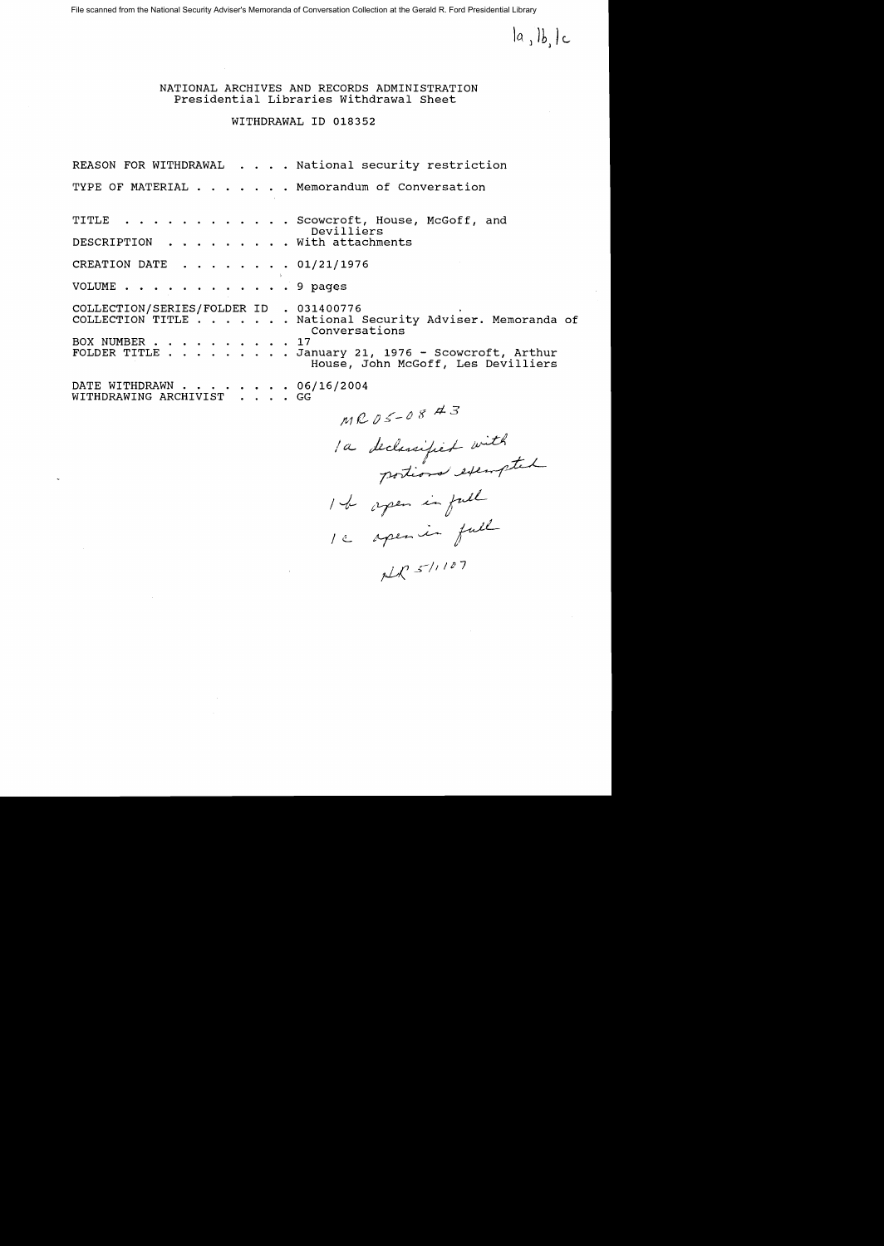$|a_1|b_1|c_1$ 

NATIONAL ARCHIVES AND RECORDS ADMINISTRATION Presidential Libraries withdrawal Sheet

## WITHDRAWAL ID 018352

REASON FOR WITHDRAWAL . . . . National security restriction TYPE OF MATERIAL . . . . . . Memorandum of Conversation TITLE . . . . . . . . . . . Scowcroft, House, McGoff, and Devilliers<br>With attachments DESCRIPTION . . . . CREATION DATE . . . . . . . 01/21/1976 VOLUME . . . . . . . . 9 pages COLLECTION/SERIES/FOLDER ID . 031400776 COLLECTION/SERIES/FOLDER ID . 031400776<br>COLLECTION TITLE . . . . . . National Security Adviser. Memoranda of Conversations<br>
. . . 17 COLLECTION TITLE . . . . . . . Nat<br>BOX NUMBER . . . . . . . . . . 17<br>FOLDER TITLE . . . . . . . . . . Jan FOLDER TITLE ......... January 21, 1976 - Scowcroft, Arthur House, John McGoff, Les Devilliers FOLDER TITLE . . . . . . . . . January 21<br>House, J<br>DATE WITHDRAWN . . . . . . . . 06/16/2004 WITHDRAWING ARCHIVIST . GG

 $MRS05-0843$ 

 $/a$ 

 $1c$  apenin full<br>NR 5/1107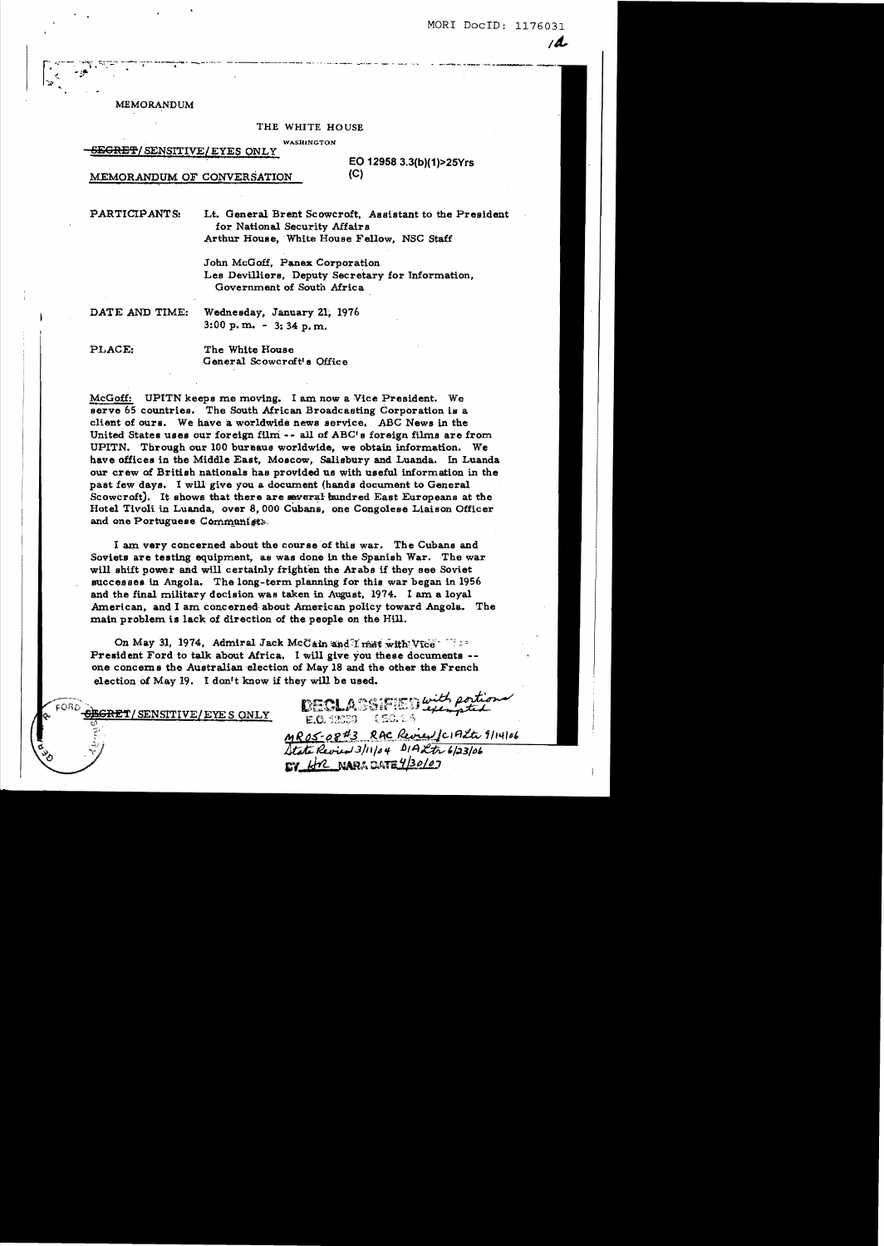MORI DocID: 1176031

 $\overline{A}$ 

**MEMORANDUM** 

### THE WHITE HOUSE

.<br>And the control and analysis (galvas an aggregative state)

**WASHINGTON** 

#### <del>SEGRET</del>/SENSITIVE/EYES ONLY

EO 12958 3.3(b)(1)>25Yrs  $(C)$ 

MEMORANDUM OF CONVERSATION

PARTICIPANTS: Lt. General Brent Scowcroft, Assistant to the President for National Security Affairs Arthur House. White House Fellow, NSC Staff

> John McGoff, Panex Corporation Les Devilliers. Deputy Secretary for Information. Government of South Africa

DATE AND TIME:

Wednesday, January 21, 1976  $3:00 \text{ p. m.}$  -  $3:34 \text{ p.m.}$ 

PLACE:

The White House General Scowcroft's Office

McGoff: UPITN keeps me moving. I am now a Vice President. We serve 65 countries. The South African Broadcasting Corporation is a client of ours. We have a worldwide news service. ABC News in the United States uses our foreign film -- all of ABC's foreign films are from UPITN. Through our 100 bureaus worldwide, we obtain information. We have offices in the Middle East, Moscow, Salisbury and Luanda. In Luanda our crew of British nationals has provided us with useful information in the past few days. I will give you a document (hands document to General Scowcroft). It shows that there are several hundred East Europeans at the Hotel Tivoli in Luanda, over 8,000 Cubans, one Congolese Liaison Officer and one Portuguese Communists.

I am very concerned about the course of this war. The Cubans and Soviets are testing equipment, as was done in the Spanish War. The war will shift power and will certainly frighten the Arabs if they see Soviet successes in Angola. The long-term planning for this war began in 1956 and the final military decision was taken in August, 1974. I am a loyal American, and I am concerned about American policy toward Angola. The main problem is lack of direction of the people on the Hill.

On May 31, 1974, Admiral Jack McCain and I met with Vice President Ford to talk about Africa. I will give you these documents -one concerns the Australian election of May 18 and the other the French election of May 19. I don't know if they will be used.

SENSITIVE/EYE SONLY

DECLASSIFIED with portional MROS-08#3 RAC Review / CIALLE 9/14/06 State Review 3/11/04 DIA Ltr 6/23/06 EV Hr NAPADATE 4/30/07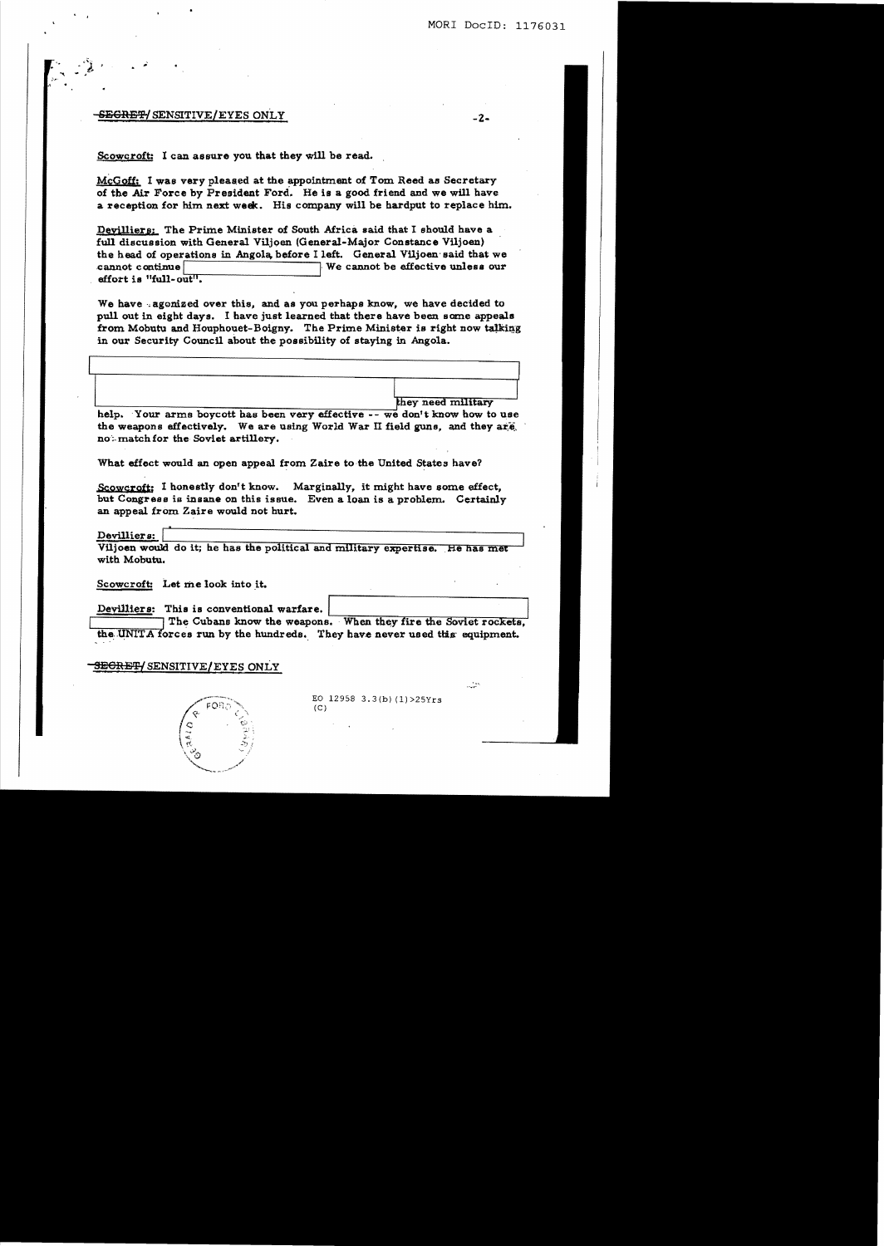-2-

#### <del>SEGRET/</del> SENSITIVE/EYES ONLY

Scowcroft: I can assure you that they will be read.

McGoff: I was very pleased at the appointment of Tom Reed as Secretary of the Air Force by President Ford. He is a good friend and we will have a reception for him next week. His company will be hardput to replace him.

Deyilliers: The Prime Minister of South Africa said that I should have a full discussion with General Viljoen (General-Major Constance Viljoen) the head of operations in Angola, before I left. General VUjoen'said that we cannot continue **and interest in the cannot** be effective unless our effort is "full- out".

We have -agonized over this, and as you perhaps know, we have decided to pull out in eight days. I have just learned that there have been some appeals from Mobutu and Houphouet-Boigny. The Prime Minister is right now talking in our Security Council about the possibility of staying in Angola.

 $\begin{array}{|c|c|c|c|c|}\hline \textbf{[1]}\textbf{[1]}\textbf{[2]}\textbf{[3]}\textbf{[4]}\textbf{[4]}\textbf{[5]}\textbf{[5]}\textbf{[6]}\textbf{[6]}\textbf{[6]}\textbf{[6]}\textbf{[6]}\textbf{[6]}\textbf{[6]}\textbf{[6]}\textbf{[6]}\textbf{[6]}\textbf{[6]}\textbf{[6]}\textbf{[6]}\textbf{[6]}\textbf{[6]}\textbf{[6]}\textbf{[6]}\textbf{[6]}\textbf{[6]}\textbf{[6]}\textbf{[$ 

help. Your arms boycott has been very effective -- we don't know how to use the weapons effectively. We are using World War II field guns, and they are. noth match for the Soviet artillery.

What effect would an open appeal from Zaire to the United States have?

Scowcroft: I honestly don't know. Marginally, it might have some effect, but Congress is insane on this issue. Even a loan is a problem. Certainly an appeal from Zaire would not hurt.

Devilliers:

Viljoen would do it; he has the political and military expertise. He has met with Mobutu.

Scowcroft: Let me look into it.

Devilliers: This is conventional warfare.

الثار

The Cubans know the weapons. When they fire the Soviet rockets, the UNITA forces run by the hundreds. They have never used this equipment.

#### **SECRET/SENSITIVE/EYES ONLY**



EO  $12958$  3.3(b)  $(1)$  >  $25Yrs$  $(C)$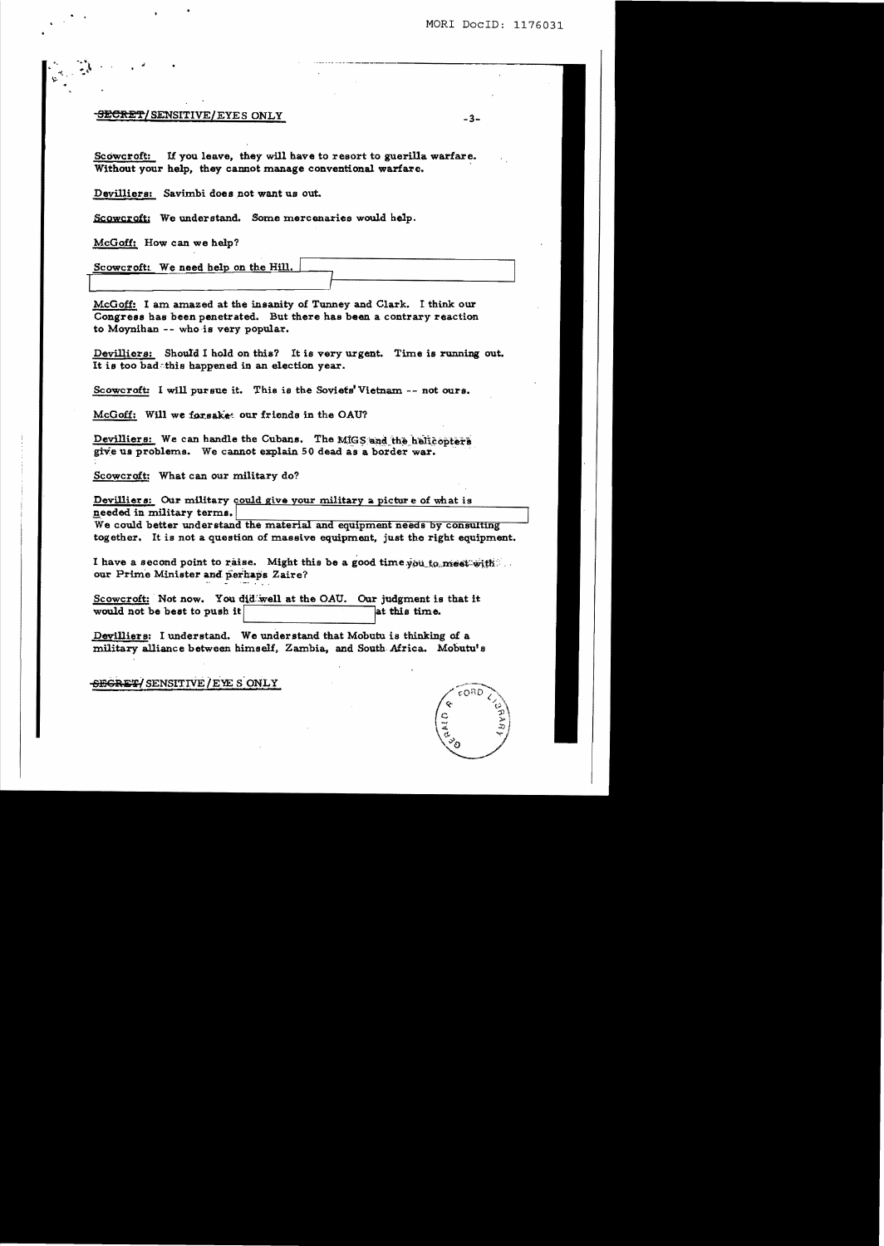## SECRET/SENSITIVE/EYES ONLY

If you leave, they will have to resort to guerilla warfare. **Scowcroft:** Without your help, they cannot manage conventional warfare.

Devilliers: Savimbi does not want us out.

Scowcroft: We understand. Some mercenaries would help.

McGoff: How can we help?

Scowcroft: We need help on the Hill.

McGoff: I am amazed at the insanity of Tunney and Clark. I think our Congress has been penetrated. But there has been a contrary reaction to Moynihan -- who is very popular.

Devilliers: Should I hold on this? It is very urgent. Time is running out. It is too badathis happened in an election year.

Scowcroft: I will pursue it. This is the Soviets' Vietnam -- not ours.

McGoff: Will we forsakes our friends in the OAU?

Devilliers: We can handle the Cubans. The MIGS and the helicopters give us problems. We cannot explain 50 dead as a border war.

Scowcroft: What can our military do?

Devilliers: Our military could give your military a picture of what is needed in military terms.

We could better understand the material and equipment needs by consulting together. It is not a question of massive equipment, just the right equipment.

I have a second point to raise. Might this be a good time you to meet with our Prime Minister and perhaps Zaire?

Scowcroft: Not now. You did well at the OAU. Our judgment is that it would not be best to push it at this time.

Devilliers: I understand. We understand that Mobutu is thinking of a military alliance between himself, Zambia, and South Africa. Mobutu's

SECRET/SENSITIVE/EYE SONLY



 $-3-$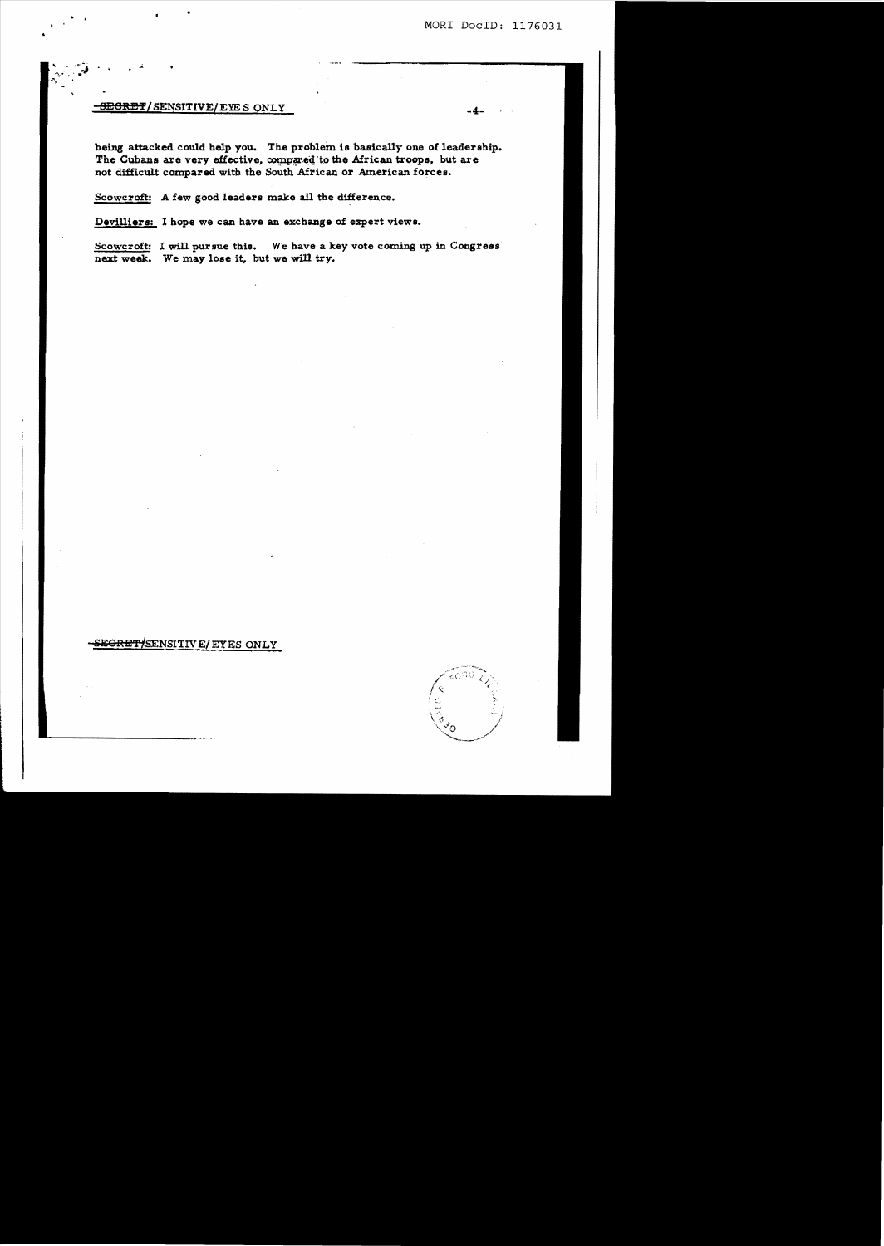## **SECRET/SENSITIVE/EYE S ONLY**

being attacked could help you. The problem is basically one of leadership. The Cubans are very effective, compared to the African troops, but are not difficult compared with the South African or American forces.

Scowcroft: A few good leaders make all the difference.

Devilliers: I hope we can have an exchange of expert views.

Scowcroft: I will pursue this. We have a key vote coming up in Congress next week. We may lose it, but we will try.

# <del>SEGRET/</del>SENSITIVE/EYES ONLY

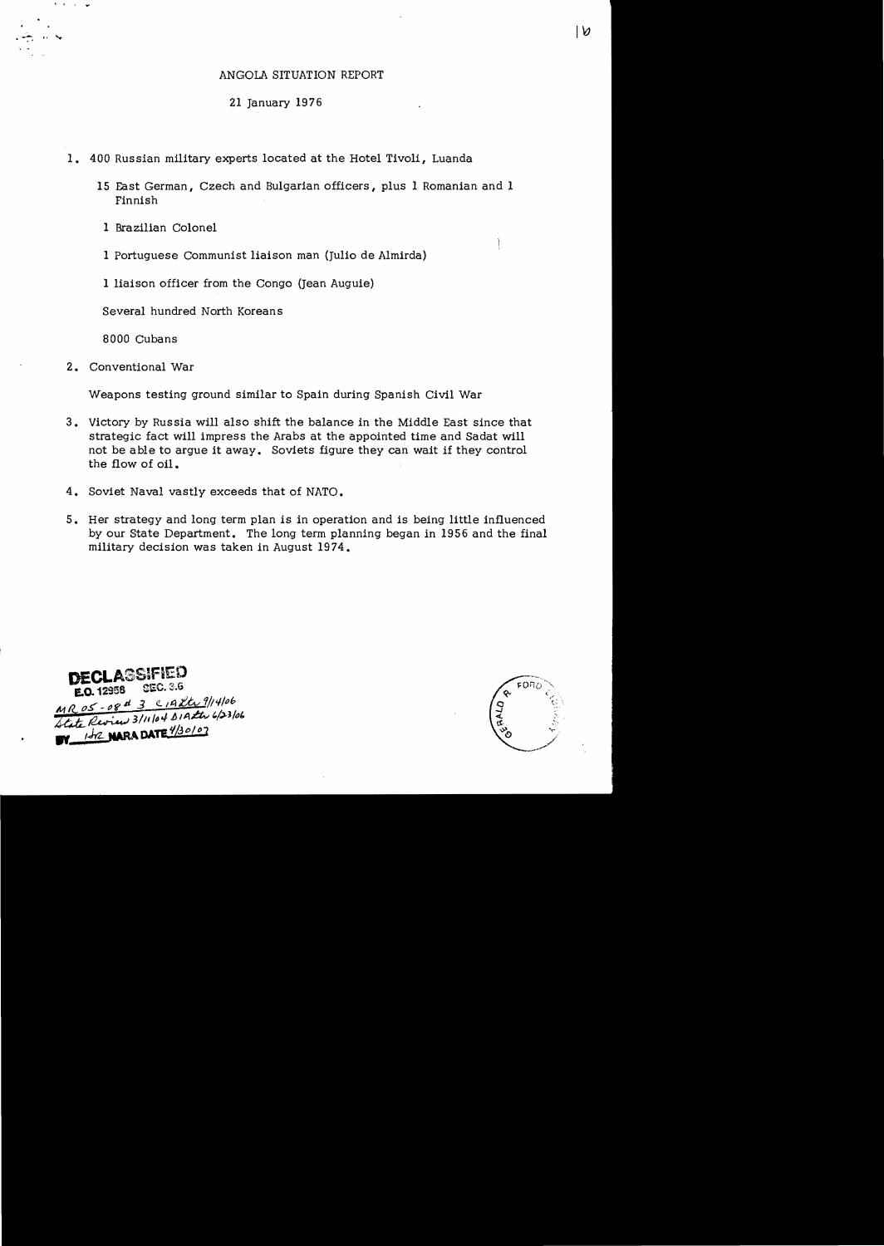## ANGOLA SITUATION REPORT

# 21 January 1976

- 1. 400 Russian military experts located at the Hotel Tivoli, Luanda
	- 15 East German, Czech and Bulgarian officers, plus 1 Romanian and 1 Finnish
	- 1 Brazilian Colonel
	- 1 Portuguese Communist liaison man (Julio de Almirda)

1 liaison officer from the Congo (Jean Auguie)

Several hundred North Koreans

8000 Cubans

2. Conventional War

 $\overline{\phantom{a}}$  $\alpha$ 

Weapons testing ground similar to Spain during Spanish Civil War

- 3. Victory by Russia will also shift the balance in the Middle East since that strategic fact will impress the Arabs at the appointed time and Sadat will not be able to argue it away. Soviets figure they can wait if they control the flow of oil.
- 4. Soviet Naval vastly exceeds that of NATO.
- 5. Her strategy and long term plan is in operation and is being little influenced by our State Department. The long term planning began in 1956 and the final military decision was taken in August 1974.

**DECLASSIFIED** E.O. 12958 SEC. 3.6 MR 05-08 4 3 C19 8th 9/14/06 MR 05 - 08 - 3 - 11/104 BIAZEN 4/23/06 M 152 NARA DATE 1/30107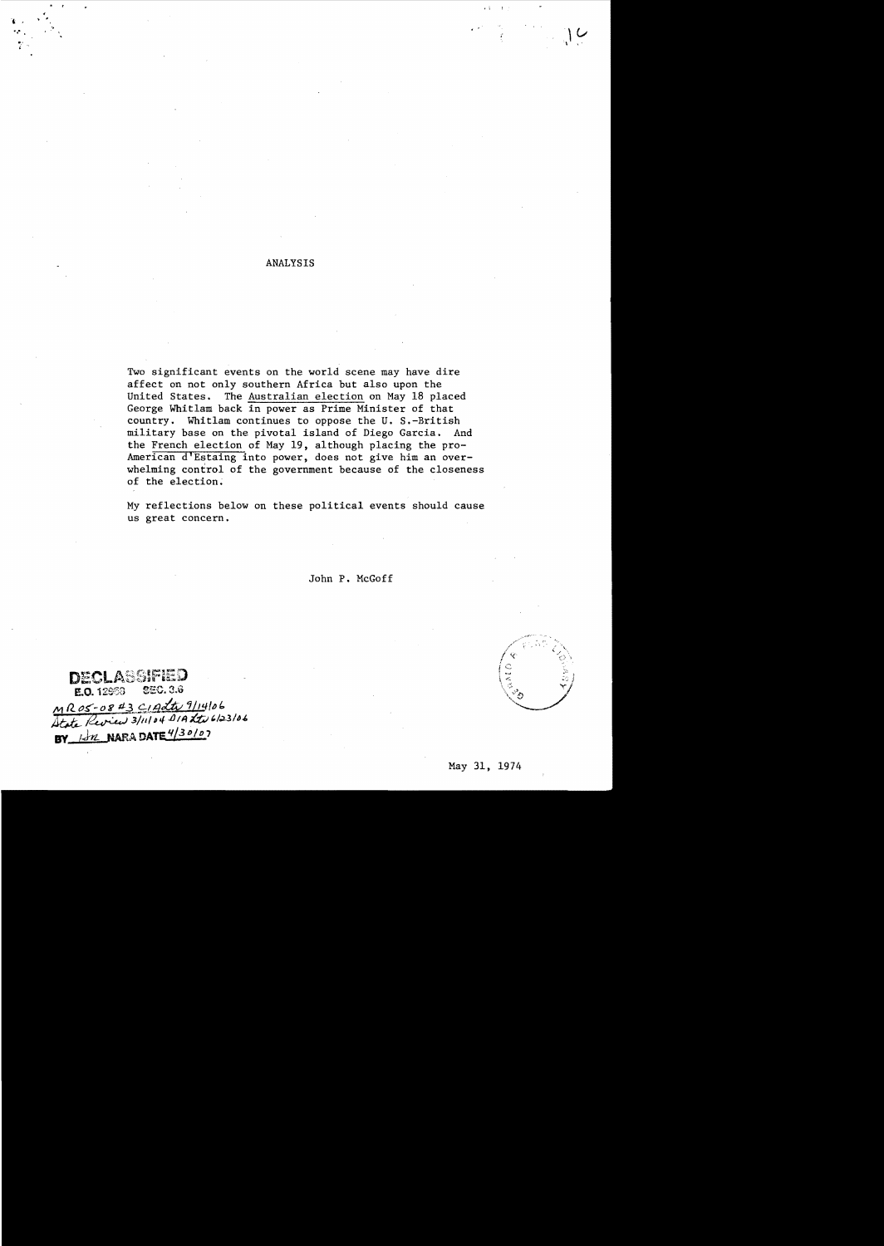### ANALYSIS

"0' ..

Two significant events on the world scene may have dire affect on not only southern Africa but also upon the United States. The Australian election on May 18 placed George Whit1am back in power as Prime Minister of that country. Whitlam continues to oppose the U. S.-British military base on the pivotal island of Diego Garcia. And the French election of May 19, although placing the pro-American d'Estaing into power, does not give him an overwhelming control of the government because of the closeness of the election.

My reflections below on these political events should cause us great concern.

John P. McGoff

.assified DE! E.O. 12953 SEC. 3.6 MR05-08#3 CIAdte 9/14/06<br>Atote Review 3/11/04 DIA the 6/23/06 BY 1st NARA DATE 4/30/07

, < . "

.-*j* 

• i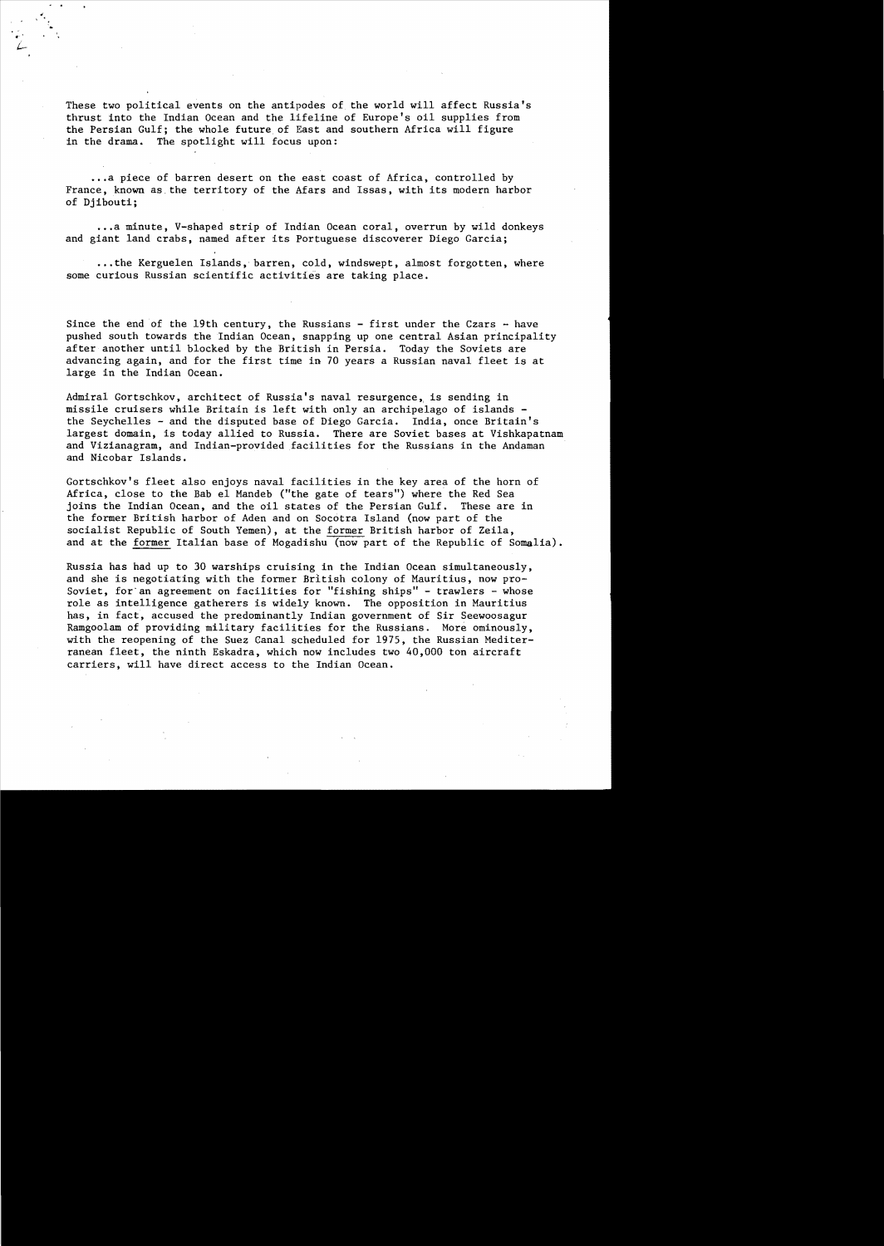These two political events on the antipodes of the world will affect Russia's thrust into the Indian Ocean and the lifeline of Europe's oil supplies from the Persian Gulf; the whole future of East and southern Africa will figure in the drama. The spotlight will focus upon:

...a piece of barren desert on the east coast of Africa, controlled by France, known as the territory of the Afars and Issas, with its modern harbor of Djibouti;

...a minute, V-shaped strip of Indian Ocean coral, overrun by wild donkeys and giant land crabs, named after its Portuguese discoverer Diego Garcia;

••. the Kerguelen Islands, barren, cold, windswept, almost forgotten, where some curious Russian scientific activities are taking place.

Since the end of the 19th century, the Russians  $-$  first under the Czars  $-$  have pushed south towards the Indian Ocean, snapping up one central Asian principality after another until blocked by the British in Persia. Today the Soviets are advancing again, and for the first time in 70 years a Russian naval fleet is at large in the Indian Ocean.

Admiral Gortschkov, architect of Russia's naval resurgence, is sending in missile cruisers while Britain is left with only an archipelago of islands the Seychelles - and the disputed base of Diego Garcia. India, once Britain's largest domain, is today allied to Russia. There are Soviet bases at Vishkapatnam and Vizianagram, and Indian-provided facilities for the Russians in the Andaman and Nicobar Islands.

Gortschkov's fleet also enjoys naval facilities in the key area of the horn of Africa, close to the Bab el Mandeb ("the gate of tears") where the Red Sea joins the Indian Ocean, and the oil states of the Persian Gulf. These are in the former British harbor of Aden and on Socotra Island (now part of the socialist Republic of South Yemen), at the former British harbor of Zeila, and at the former Italian base of Mogadishu (now part of the Republic of Somalia).

Russia has had up to 30 warships cruising in the Indian Ocean simultaneously, and she is negotiating with the former British colony of Mauritius, now pro-Soviet, for an agreement on facilities for "fishing ships" - trawlers - whose role as intelligence gatherers is widely known. The opposition in Mauritius has, in fact, accused the predominantly Indian government of Sir Seewoosagur Ramgoolam of providing military facilities for the Russians. More ominously, with the reopening of the Suez Canal scheduled for 1975, the Russian Mediterranean fleet, the ninth Eskadra, which now includes two 40,000 ton aircraft carriers, will have direct access to the Indian Ocean.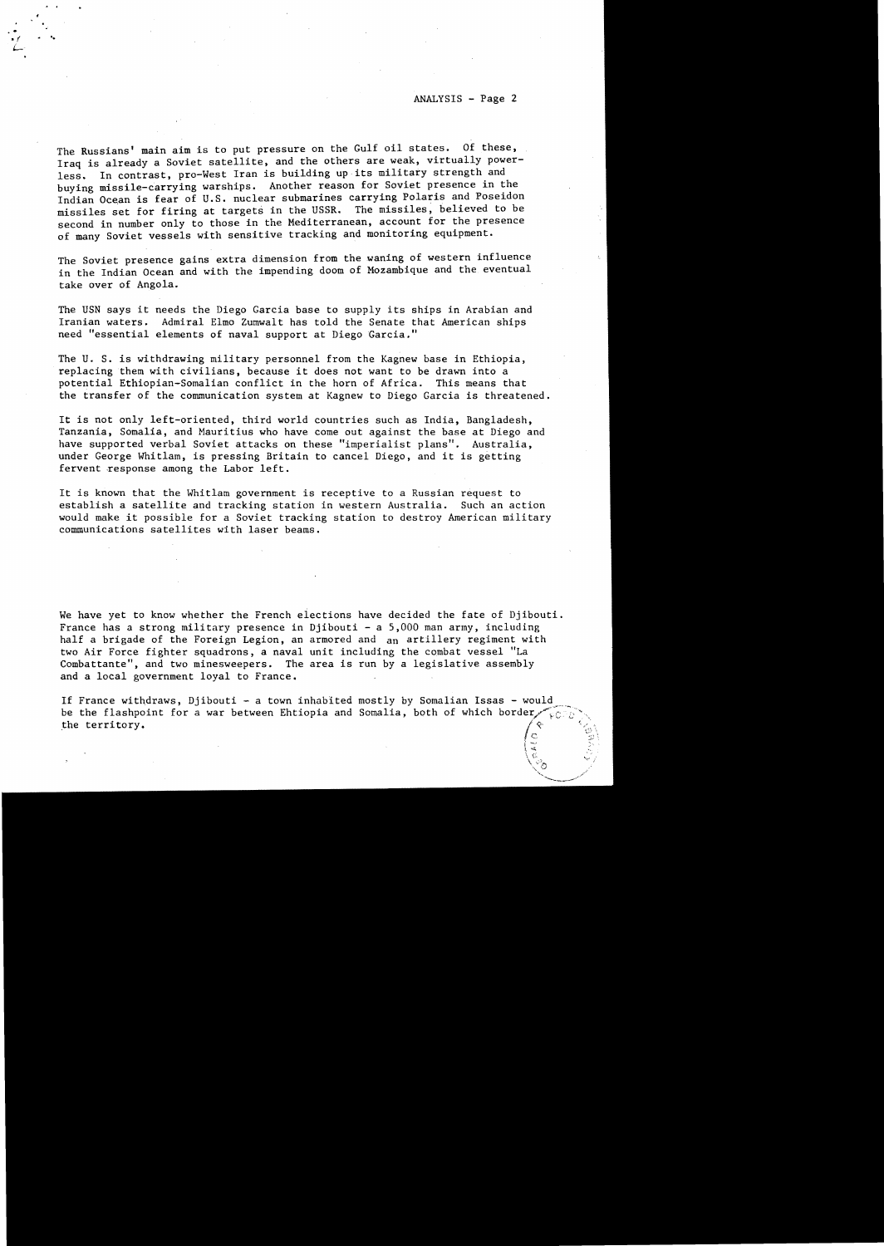$\frac{1}{2}$  $\mathcal{L}$ \  $\hat{c}$ 

The Russians' main aim is to put pressure on the Gulf oil states. Of these, Iraq is already a Soviet satellite, and the others are weak, virtually powerless. In contrast, pro-West Iran is building up its military strength and buying missile-carrying warships. Another reason for Soviet presence in the Indian Ocean is fear of U.S. nuclear submarines carrying Polaris and Poseidon missiles set for firing at targets in the USSR. The missiles, believed to be second in number only to those in the Mediterranean, account for the presence of many Soviet vessels with sensitive tracking and monitoring equipment.

..

• f **•••** 

The Soviet presence gains extra dimension from the waning of western influence in the Indian Ocean and with the impending doom of Mozambique and the eventual take over of Angola.

The USN says it needs the Diego Garcia base to supply its ships in Arabian and Iranian waters. Admiral Elmo Zumwalt has told the Senate that American ships need "essential elements of naval support at Diego Garcia."

The U. S. is withdrawing military personnel from the Kagnew base in Ethiopia, replacing them with civilians, because it does not want to be drawn into a potential Ethiopian-Somalian conflict in the horn of Africa. This means that the transfer of the communication system at Kagnew to Diego Garcia is threatened.

It is not only left-oriented, third world countries such as India, Bangladesh, Tanzania, Somalia, and Mauritius who have come out against the base at Diego and have supported verbal Soviet attacks on these "imperialist plans", Australia, under George Whitlam, is pressing Britain to cancel Diego, and **it** is getting fervent response among the Labor left.

It is known that the Whitlam government is receptive to a Russian request to establish a satellite and tracking station in western Australia. Such an action would make it possible for a Soviet tracking station to destroy American military communications satellites with laser beams.

We have yet to know whether the French elections have decided the fate of Djibouti. France has a strong military presence in Djibouti - a  $5,000$  man army, including half a brigade of the Foreign Legion, an armored and an artillery regiment with two Air Force fighter squadrons, a naval unit including the combat vessel "La Combattante", and two minesweepers. The area is run by a legislative assembly and a local government loyal to France.

If France withdraws, Djibouti - a town inhabited mostly by Somalian Issas - would be the flashpoint for a war between Ehtiopia and Somalia, both of which border, the territory.  $\left(\circ\right)$